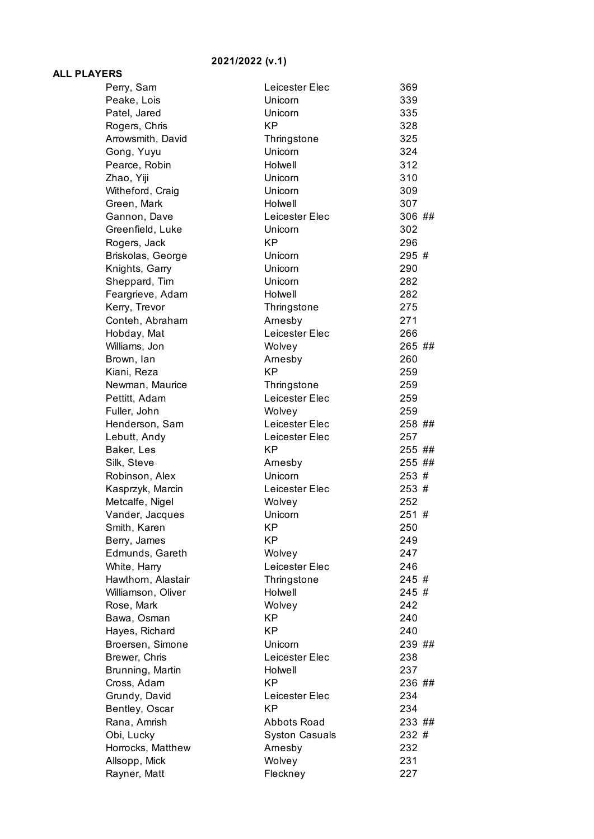## **2021/2022 (v.1)**

## **ALL PLAYERS**

| Perry, Sam                         | Leicester Elec           | 369        |
|------------------------------------|--------------------------|------------|
| Peake, Lois                        | Unicorn                  | 339        |
| Patel, Jared                       | Unicorn                  | 335        |
| Rogers, Chris                      | <b>KP</b>                | 328        |
| Arrowsmith, David                  | Thringstone              | 325        |
| Gong, Yuyu                         | Unicorn                  | 324        |
| Pearce, Robin                      | Holwell                  | 312        |
| Zhao, Yiji                         | Unicorn                  | 310        |
| Witheford, Craig                   | Unicorn                  | 309        |
| Green, Mark                        | Holwell                  | 307        |
| Gannon, Dave                       | Leicester Elec           | 306 ##     |
| Greenfield, Luke                   | Unicorn                  | 302        |
| Rogers, Jack                       | <b>KP</b>                | 296        |
| Briskolas, George                  | Unicorn                  | 295 #      |
| Knights, Garry                     | Unicorn                  | 290        |
| Sheppard, Tim                      | Unicorn                  | 282        |
| Feargrieve, Adam                   | Holwell                  | 282        |
| Kerry, Trevor                      | Thringstone              | 275        |
| Conteh, Abraham                    | Arnesby                  | 271        |
| Hobday, Mat                        | Leicester Elec           | 266        |
| Williams, Jon                      | Wolvey                   | 265 ##     |
| Brown, lan                         | Arnesby                  | 260        |
| Kiani, Reza                        | <b>KP</b>                | 259        |
| Newman, Maurice                    | Thringstone              | 259        |
| Pettitt, Adam                      | Leicester Elec           | 259        |
| Fuller, John                       | Wolvey                   | 259        |
| Henderson, Sam                     | Leicester Elec           | 258 ##     |
| Lebutt, Andy                       | Leicester Elec           | 257        |
| Baker, Les                         | <b>KP</b>                | 255 ##     |
| Silk, Steve                        | Arnesby                  | 255 ##     |
| Robinson, Alex                     | Unicorn                  | 253 #      |
| Kasprzyk, Marcin                   | Leicester Elec           | 253 #      |
|                                    |                          |            |
|                                    |                          | 252        |
| Metcalfe, Nigel                    | Wolvey<br>Unicorn        | 251#       |
| Vander, Jacques                    | KP                       | 250        |
| Smith, Karen                       | ΚP                       | 249        |
| Berry, James<br>Edmunds, Gareth    |                          |            |
|                                    | Wolvey<br>Leicester Elec | 247<br>246 |
| White, Harry<br>Hawthorn, Alastair |                          | 245 #      |
|                                    | Thringstone<br>Holwell   | 245 #      |
| Williamson, Oliver                 |                          | 242        |
| Rose, Mark                         | Wolvey<br><b>KP</b>      | 240        |
| Bawa, Osman                        | <b>KP</b>                | 240        |
| Hayes, Richard                     | Unicorn                  | 239 ##     |
| Broersen, Simone                   | Leicester Elec           | 238        |
| Brewer, Chris                      | Holwell                  | 237        |
| Brunning, Martin                   | <b>KP</b>                | 236 ##     |
| Cross, Adam<br>Grundy, David       | Leicester Elec           | 234        |
|                                    | <b>KP</b>                | 234        |
| Bentley, Oscar<br>Rana, Amrish     | Abbots Road              | 233 ##     |
| Obi, Lucky                         | <b>Syston Casuals</b>    | 232 #      |
| Horrocks, Matthew                  | Arnesby                  | 232        |
| Allsopp, Mick                      | Wolvey                   | 231        |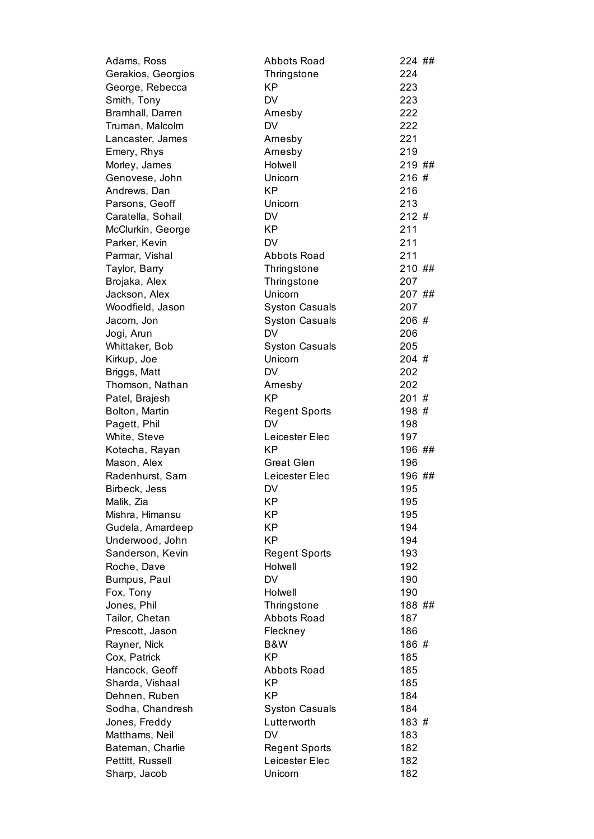| Adams, Ross        | <b>Abbots Road</b>    | 224 ## |
|--------------------|-----------------------|--------|
| Gerakios, Georgios | Thringstone           | 224    |
| George, Rebecca    | KP                    | 223    |
| Smith, Tony        | <b>DV</b>             | 223    |
| Bramhall, Darren   | Arnesby               | 222    |
| Truman, Malcolm    | <b>DV</b>             | 222    |
| Lancaster, James   | Arnesby               | 221    |
| Emery, Rhys        | Arnesby               | 219    |
| Morley, James      | Holwell               | 219 ## |
| Genovese, John     | Unicorn               | 216#   |
| Andrews, Dan       | KP                    | 216    |
| Parsons, Geoff     | Unicorn               | 213    |
| Caratella, Sohail  | <b>DV</b>             | 212#   |
| McClurkin, George  | <b>KP</b>             | 211    |
| Parker, Kevin      | <b>DV</b>             | 211    |
| Parmar, Vishal     | Abbots Road           | 211    |
| Taylor, Barry      | Thringstone           | 210 ## |
| Brojaka, Alex      | Thringstone           | 207    |
| Jackson, Alex      | Unicorn               | 207 ## |
| Woodfield, Jason   | <b>Syston Casuals</b> | 207    |
| Jacom, Jon         | <b>Syston Casuals</b> | 206 #  |
| Jogi, Arun         | <b>DV</b>             | 206    |
| Whittaker, Bob     | <b>Syston Casuals</b> | 205    |
| Kirkup, Joe        | Unicorn               | 204 #  |
| Briggs, Matt       | <b>DV</b>             | 202    |
| Thomson, Nathan    | Arnesby               | 202    |
| Patel, Brajesh     | <b>KP</b>             | 201#   |
| Bolton, Martin     | <b>Regent Sports</b>  | 198 #  |
| Pagett, Phil       | <b>DV</b>             | 198    |
| White, Steve       | Leicester Elec        | 197    |
| Kotecha, Rayan     | <b>KP</b>             | 196 ## |
| Mason, Alex        | <b>Great Glen</b>     | 196    |
| Radenhurst, Sam    | Leicester Elec        | 196 ## |
| Birbeck, Jess      | <b>DV</b>             | 195    |
| Malik, Zia         | KP                    | 195    |
| Mishra, Himansu    | КP                    | 195    |
| Gudela, Amardeep   | <b>KP</b>             | 194    |
| Underwood, John    | <b>KP</b>             | 194    |
| Sanderson, Kevin   | <b>Regent Sports</b>  | 193    |
| Roche, Dave        | Holwell               | 192    |
| Bumpus, Paul       | DV                    | 190    |
| Fox, Tony          | Holwell               | 190    |
| Jones, Phil        | Thringstone           | 188 ## |
| Tailor, Chetan     | <b>Abbots Road</b>    | 187    |
| Prescott, Jason    | Fleckney              | 186    |
| Rayner, Nick       | B&W                   | 186 #  |
| Cox, Patrick       | КP                    | 185    |
| Hancock, Geoff     | Abbots Road           | 185    |
| Sharda, Vishaal    | KP                    | 185    |
| Dehnen, Ruben      | KP                    | 184    |
| Sodha, Chandresh   | <b>Syston Casuals</b> | 184    |
| Jones, Freddy      | Lutterworth           | 183 #  |
| Matthams, Neil     | <b>DV</b>             | 183    |
| Bateman, Charlie   | <b>Regent Sports</b>  | 182    |
| Pettitt, Russell   | Leicester Elec        | 182    |
| Sharp, Jacob       | Unicorn               | 182    |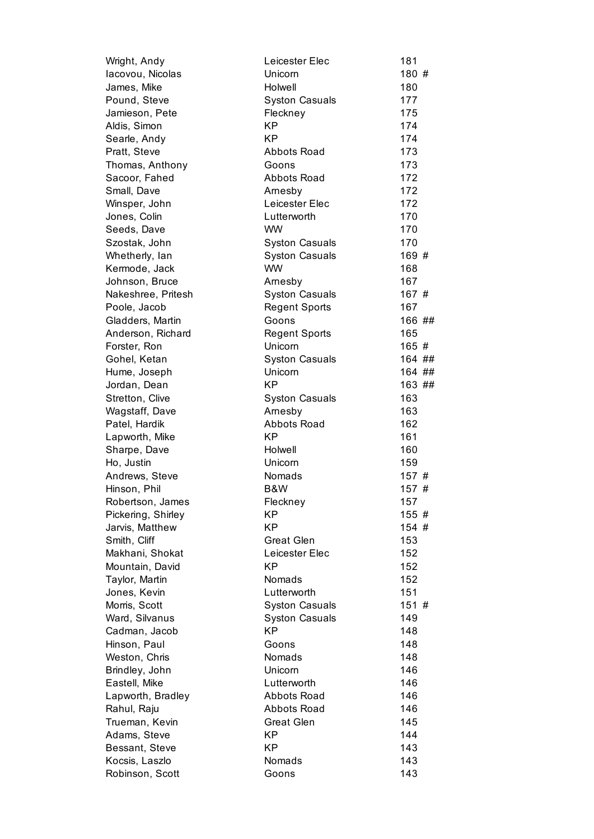| Wright, Andy       | Leicester Elec        | 181    |
|--------------------|-----------------------|--------|
| lacovou, Nicolas   | Unicorn               | 180 #  |
| James, Mike        | Holwell               | 180    |
| Pound, Steve       | <b>Syston Casuals</b> | 177    |
| Jamieson, Pete     | Fleckney              | 175    |
| Aldis, Simon       | <b>KP</b>             | 174    |
| Searle, Andy       | <b>KP</b>             | 174    |
| Pratt, Steve       | Abbots Road           | 173    |
| Thomas, Anthony    | Goons                 | 173    |
| Sacoor, Fahed      | <b>Abbots Road</b>    | 172    |
| Small, Dave        | Arnesby               | 172    |
| Winsper, John      | Leicester Elec        | 172    |
| Jones, Colin       | Lutterworth           | 170    |
| Seeds, Dave        | <b>WW</b>             | 170    |
| Szostak, John      | <b>Syston Casuals</b> | 170    |
| Whetherly, lan     | <b>Syston Casuals</b> | 169 #  |
| Kermode, Jack      | <b>WW</b>             | 168    |
| Johnson, Bruce     | Arnesby               | 167    |
| Nakeshree, Pritesh | <b>Syston Casuals</b> | 167 #  |
| Poole, Jacob       | <b>Regent Sports</b>  | 167    |
| Gladders, Martin   | Goons                 | 166 ## |
| Anderson, Richard  | <b>Regent Sports</b>  | 165    |
| Forster, Ron       | Unicorn               | 165#   |
| Gohel, Ketan       | <b>Syston Casuals</b> | 164 ## |
| Hume, Joseph       | Unicorn               | 164 ## |
| Jordan, Dean       | <b>KP</b>             | 163 ## |
| Stretton, Clive    | <b>Syston Casuals</b> | 163    |
| Wagstaff, Dave     | Arnesby               | 163    |
| Patel, Hardik      | <b>Abbots Road</b>    | 162    |
| Lapworth, Mike     | <b>KP</b>             | 161    |
| Sharpe, Dave       | Holwell               | 160    |
| Ho, Justin         | Unicorn               | 159    |
| Andrews, Steve     | Nomads                | 157#   |
| Hinson, Phil       | B&W                   | 157#   |
| Robertson, James   | Fleckney              | 157    |
| Pickering, Shirley | KP.                   | 155 #  |
| Jarvis, Matthew    | <b>KP</b>             | 154 #  |
| Smith, Cliff       | <b>Great Glen</b>     | 153    |
| Makhani, Shokat    | Leicester Elec        | 152    |
| Mountain, David    | KP                    | 152    |
| Taylor, Martin     | Nomads                | 152    |
| Jones, Kevin       | Lutterworth           | 151    |
| Morris, Scott      | <b>Syston Casuals</b> | 151 #  |
| Ward, Silvanus     | <b>Syston Casuals</b> | 149    |
| Cadman, Jacob      | KP                    | 148    |
| Hinson, Paul       | Goons                 | 148    |
| Weston, Chris      | Nomads                | 148    |
| Brindley, John     | Unicorn               | 146    |
| Eastell, Mike      | Lutterworth           | 146    |
| Lapworth, Bradley  | <b>Abbots Road</b>    | 146    |
| Rahul, Raju        | <b>Abbots Road</b>    | 146    |
| Trueman, Kevin     | <b>Great Glen</b>     | 145    |
| Adams, Steve       | KP                    | 144    |
| Bessant, Steve     | KP                    | 143    |
| Kocsis, Laszlo     | Nomads                | 143    |
| Robinson, Scott    | Goons                 | 143    |
|                    |                       |        |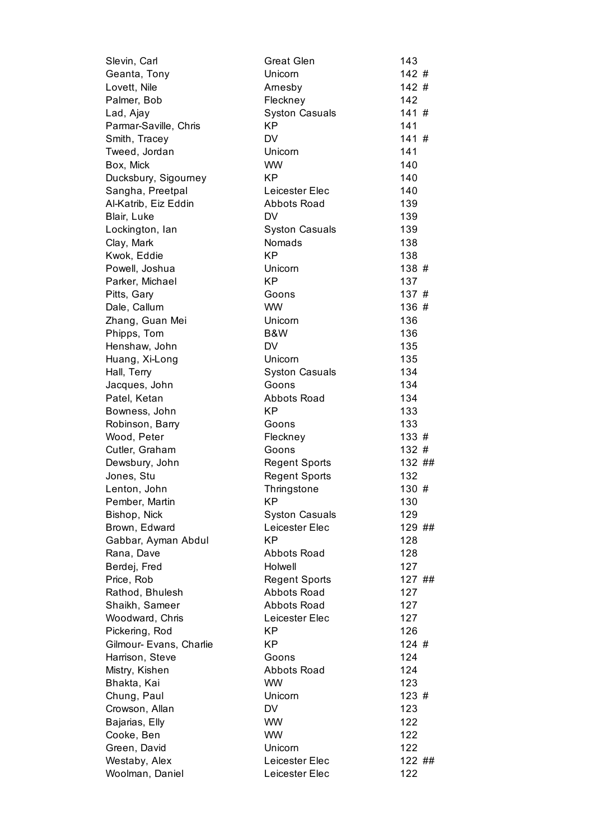| Slevin, Carl            | <b>Great Glen</b>     | 143    |
|-------------------------|-----------------------|--------|
| Geanta, Tony            | Unicorn               | 142#   |
| Lovett, Nile            | Arnesby               | 142#   |
| Palmer, Bob             | Fleckney              | 142    |
| Lad, Ajay               | <b>Syston Casuals</b> | 141#   |
| Parmar-Saville, Chris   | <b>KP</b>             | 141    |
| Smith, Tracey           | <b>DV</b>             | 141#   |
| Tweed, Jordan           | Unicorn               | 141    |
| Box, Mick               | <b>WW</b>             | 140    |
| Ducksbury, Sigourney    | <b>KP</b>             | 140    |
| Sangha, Preetpal        | Leicester Elec        | 140    |
| Al-Katrib, Eiz Eddin    | <b>Abbots Road</b>    | 139    |
| Blair, Luke             | <b>DV</b>             | 139    |
| Lockington, lan         | <b>Syston Casuals</b> | 139    |
| Clay, Mark              | Nomads                | 138    |
| Kwok, Eddie             | <b>KP</b>             | 138    |
| Powell, Joshua          | Unicorn               | 138 #  |
| Parker, Michael         | <b>KP</b>             | 137    |
| Pitts, Gary             | Goons                 | 137#   |
| Dale, Callum            | <b>WW</b>             | 136 #  |
| Zhang, Guan Mei         | Unicorn               | 136    |
| Phipps, Tom             | B&W                   | 136    |
| Henshaw, John           | <b>DV</b>             | 135    |
| Huang, Xi-Long          | Unicorn               | 135    |
| Hall, Terry             | <b>Syston Casuals</b> | 134    |
| Jacques, John           | Goons                 | 134    |
| Patel, Ketan            | <b>Abbots Road</b>    | 134    |
| Bowness, John           | <b>KP</b>             | 133    |
| Robinson, Barry         | Goons                 | 133    |
| Wood, Peter             | Fleckney              | 133#   |
| Cutler, Graham          | Goons                 | 132#   |
| Dewsbury, John          | <b>Regent Sports</b>  | 132 ## |
| Jones, Stu              | <b>Regent Sports</b>  | 132    |
| Lenton, John            | Thringstone           | 130#   |
| Pember, Martin          | КP                    | 130    |
| Bishop, Nick            | <b>Syston Casuals</b> | 129    |
| Brown, Edward           | Leicester Elec        | 129 ## |
| Gabbar, Ayman Abdul     | KP                    | 128    |
| Rana, Dave              | Abbots Road           | 128    |
| Berdej, Fred            | Holwell               | 127    |
| Price, Rob              | <b>Regent Sports</b>  | 127 ## |
| Rathod, Bhulesh         | <b>Abbots Road</b>    | 127    |
| Shaikh, Sameer          | <b>Abbots Road</b>    | 127    |
| Woodward, Chris         | Leicester Elec        | 127    |
| Pickering, Rod          | KP                    | 126    |
| Gilmour- Evans, Charlie | <b>KP</b>             | 124#   |
| Harrison, Steve         | Goons                 | 124    |
| Mistry, Kishen          | Abbots Road           | 124    |
| Bhakta, Kai             | <b>WW</b>             | 123    |
| Chung, Paul             | Unicorn               | 123#   |
| Crowson, Allan          | DV                    | 123    |
| Bajarias, Elly          | <b>WW</b>             | 122    |
| Cooke, Ben              | <b>WW</b>             | 122    |
| Green, David            | Unicorn               | 122    |
| Westaby, Alex           | Leicester Elec        | 122 ## |
| Woolman, Daniel         | Leicester Elec        | 122    |
|                         |                       |        |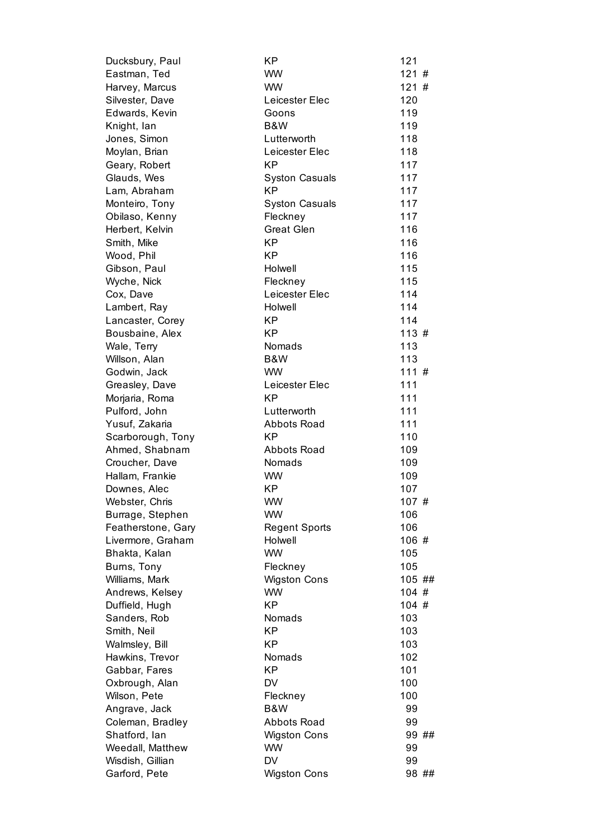| Ducksbury, Paul                   | KP                                 | 121        |
|-----------------------------------|------------------------------------|------------|
| Eastman, Ted                      | <b>WW</b>                          | 121#       |
| Harvey, Marcus                    | <b>WW</b>                          | 121#       |
| Silvester, Dave                   | Leicester Elec                     | 120        |
| Edwards, Kevin                    | Goons                              | 119        |
| Knight, lan                       | B&W                                | 119        |
| Jones, Simon                      | Lutterworth                        | 118        |
| Moylan, Brian                     | Leicester Elec                     | 118        |
| Geary, Robert                     | <b>KP</b>                          | 117        |
| Glauds, Wes                       | <b>Syston Casuals</b>              | 117        |
| Lam, Abraham                      | KP                                 | 117        |
| Monteiro, Tony                    | <b>Syston Casuals</b>              | 117        |
| Obilaso, Kenny                    | Fleckney                           | 117        |
| Herbert, Kelvin                   | <b>Great Glen</b>                  | 116        |
| Smith, Mike                       | <b>KP</b>                          | 116        |
| Wood, Phil                        | <b>KP</b>                          | 116        |
| Gibson, Paul                      | Holwell                            | 115        |
| Wyche, Nick                       | Fleckney                           | 115        |
| Cox, Dave                         | Leicester Elec                     | 114        |
| Lambert, Ray                      | Holwell                            | 114        |
| Lancaster, Corey                  | <b>KP</b>                          | 114        |
| Bousbaine, Alex                   | <b>KP</b>                          | 113#       |
| Wale, Terry                       | Nomads                             | 113        |
| Willson, Alan                     | B&W                                | 113        |
| Godwin, Jack                      | <b>WW</b>                          | 111#       |
| Greasley, Dave                    | Leicester Elec                     | 111        |
| Morjaria, Roma                    | <b>KP</b>                          | 111        |
| Pulford, John                     | Lutterworth                        | 111        |
| Yusuf, Zakaria                    | <b>Abbots Road</b>                 | 111        |
| Scarborough, Tony                 | <b>KP</b>                          | 110        |
| Ahmed, Shabnam                    | <b>Abbots Road</b>                 | 109        |
| Croucher, Dave                    | Nomads                             | 109        |
| Hallam, Frankie                   | <b>WW</b>                          | 109        |
| Downes, Alec                      | <b>KP</b>                          | 107        |
| Webster, Chris                    | <b>WW</b>                          | 107#       |
| Burrage, Stephen                  | WW.                                | 106        |
| Featherstone, Gary                | <b>Regent Sports</b>               | 106        |
| Livermore, Graham                 | Holwell                            | 106 #      |
| Bhakta, Kalan                     | <b>WW</b>                          | 105        |
| Burns, Tony                       | Fleckney                           | 105        |
| Williams, Mark                    | <b>Wigston Cons</b>                | 105 ##     |
| Andrews, Kelsey                   | <b>WW</b>                          | 104#       |
| Duffield, Hugh                    | ΚP                                 | 104#       |
| Sanders, Rob                      | Nomads<br><b>KP</b>                | 103        |
| Smith, Neil                       | <b>KP</b>                          | 103        |
| Walmsley, Bill                    |                                    | 103        |
| Hawkins, Trevor                   | Nomads<br><b>KP</b>                | 102<br>101 |
| Gabbar, Fares                     | DV                                 | 100        |
| Oxbrough, Alan<br>Wilson, Pete    | Fleckney                           | 100        |
|                                   | B&W                                | 99         |
| Angrave, Jack                     |                                    | 99         |
| Coleman, Bradley<br>Shatford, lan | Abbots Road<br><b>Wigston Cons</b> | 99 ##      |
| Weedall, Matthew                  | <b>WW</b>                          | 99         |
| Wisdish, Gillian                  | DV                                 | 99         |
| Garford, Pete                     | <b>Wigston Cons</b>                | 98 ##      |
|                                   |                                    |            |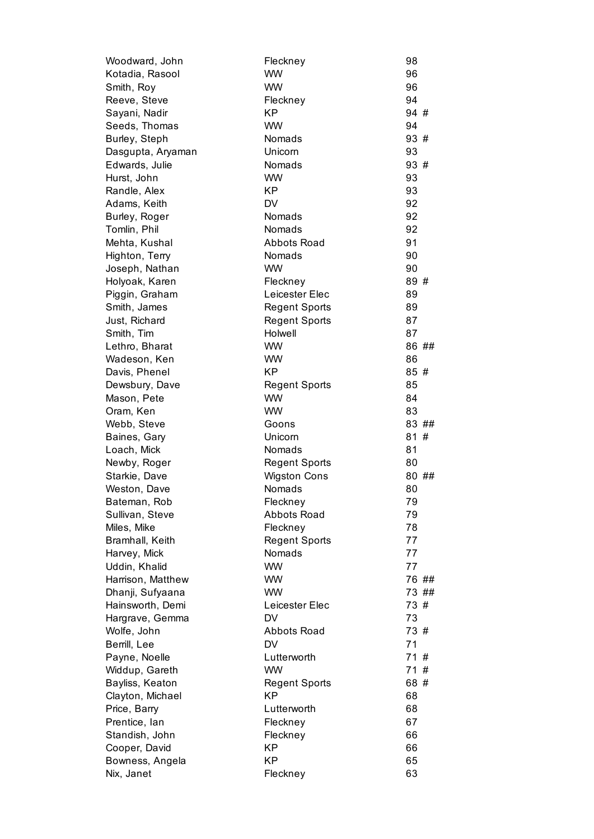| Woodward, John    | Fleckney             | 98    |
|-------------------|----------------------|-------|
| Kotadia, Rasool   | <b>WW</b>            | 96    |
| Smith, Roy        | <b>WW</b>            | 96    |
| Reeve, Steve      | Fleckney             | 94    |
| Sayani, Nadir     | <b>KP</b>            | 94 #  |
| Seeds, Thomas     | <b>WW</b>            | 94    |
| Burley, Steph     | Nomads               | 93 #  |
| Dasgupta, Aryaman | Unicorn              | 93    |
| Edwards, Julie    | Nomads               | 93 #  |
| Hurst, John       | <b>WW</b>            | 93    |
| Randle, Alex      | <b>KP</b>            | 93    |
| Adams, Keith      | <b>DV</b>            | 92    |
| Burley, Roger     | Nomads               | 92    |
| Tomlin, Phil      | <b>Nomads</b>        | 92    |
| Mehta, Kushal     | <b>Abbots Road</b>   | 91    |
| Highton, Terry    | Nomads               | 90    |
| Joseph, Nathan    | <b>WW</b>            | 90    |
| Holyoak, Karen    | Fleckney             | 89 #  |
| Piggin, Graham    | Leicester Elec       | 89    |
| Smith, James      | <b>Regent Sports</b> | 89    |
| Just, Richard     | <b>Regent Sports</b> | 87    |
| Smith, Tim        | Holwell              | 87    |
| Lethro, Bharat    | <b>WW</b>            | 86 ## |
| Wadeson, Ken      | <b>WW</b>            | 86    |
| Davis, Phenel     | КP                   | 85#   |
| Dewsbury, Dave    | <b>Regent Sports</b> | 85    |
| Mason, Pete       | <b>WW</b>            | 84    |
| Oram, Ken         | <b>WW</b>            | 83    |
| Webb, Steve       | Goons                | 83 ## |
| Baines, Gary      | Unicorn              | 81#   |
| Loach, Mick       | Nomads               | 81    |
| Newby, Roger      | <b>Regent Sports</b> | 80    |
| Starkie, Dave     | <b>Wigston Cons</b>  | 80 ## |
| Weston, Dave      | Nomads               | 80    |
| Bateman, Rob      | Fleckney             | 79    |
| Sullivan, Steve   | <b>Abbots Road</b>   | 79    |
| Miles, Mike       | Fleckney             | 78    |
| Bramhall, Keith   | <b>Regent Sports</b> | 77    |
| Harvey, Mick      | Nomads               | 77    |
| Uddin, Khalid     | <b>WW</b>            | 77    |
| Harrison, Matthew | <b>WW</b>            | 76 ## |
| Dhanji, Sufyaana  | <b>WW</b>            | 73 ## |
| Hainsworth, Demi  | Leicester Elec       | 73 #  |
| Hargrave, Gemma   | <b>DV</b>            | 73    |
| Wolfe, John       | <b>Abbots Road</b>   | 73 #  |
| Berrill, Lee      | <b>DV</b>            | 71    |
| Payne, Noelle     | Lutterworth          | 71#   |
| Widdup, Gareth    | <b>WW</b>            | 71#   |
| Bayliss, Keaton   | <b>Regent Sports</b> | 68 #  |
| Clayton, Michael  | <b>KP</b>            | 68    |
| Price, Barry      | Lutterworth          | 68    |
| Prentice, lan     | Fleckney             | 67    |
| Standish, John    | Fleckney             | 66    |
| Cooper, David     | <b>KP</b>            | 66    |
| Bowness, Angela   | <b>KP</b>            | 65    |
| Nix, Janet        | Fleckney             | 63    |
|                   |                      |       |